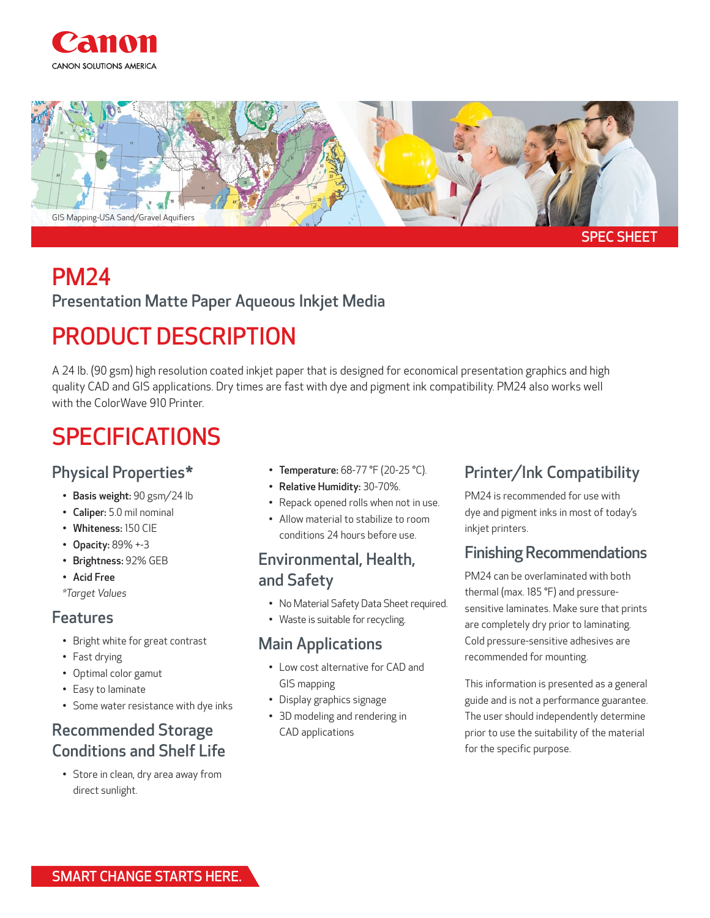



# PM24

## Presentation Matte Paper Aqueous Inkjet Media

# PRODUCT DESCRIPTION

A 24 lb. (90 gsm) high resolution coated inkjet paper that is designed for economical presentation graphics and high quality CAD and GIS applications. Dry times are fast with dye and pigment ink compatibility. PM24 also works well with the ColorWave 910 Printer.

# SPECIFICATIONS

### Physical Properties\*

- Basis weight: 90 gsm/24 lb
- Caliper: 5.0 mil nominal
- Whiteness: 150 CIE
- Opacity: 89% +-3
- Brightness: 92% GEB
- Acid Free
- *\*Target Values*

#### Features

- Bright white for great contrast
- Fast drying
- Optimal color gamut
- Easy to laminate
- Some water resistance with dye inks

## Recommended Storage Conditions and Shelf Life

• Store in clean, dry area away from direct sunlight.

- Temperature: 68-77 °F (20-25 °C).
- Relative Humidity: 30-70%.
- Repack opened rolls when not in use.
- Allow material to stabilize to room conditions 24 hours before use.

#### Environmental, Health, and Safety

- No Material Safety Data Sheet required.
- Waste is suitable for recycling.

#### Main Applications

- Low cost alternative for CAD and GIS mapping
- Display graphics signage
- 3D modeling and rendering in CAD applications

### Printer/Ink Compatibility

PM24 is recommended for use with dye and pigment inks in most of today's inkjet printers.

### Finishing Recommendations

PM24 can be overlaminated with both thermal (max. 185 °F) and pressuresensitive laminates. Make sure that prints are completely dry prior to laminating. Cold pressure-sensitive adhesives are recommended for mounting.

This information is presented as a general guide and is not a performance guarantee. The user should independently determine prior to use the suitability of the material for the specific purpose.